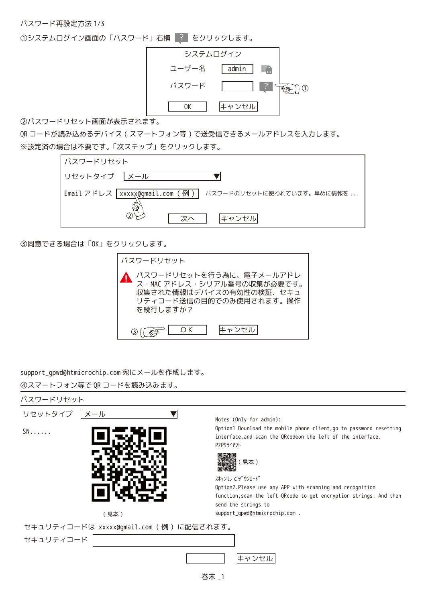パスワード再設定方法 1/3

①システムログイン画面の「パスワード」右横 |? | をクリックします。



②パスワードリセット画面が表示されます。

QR コードが読み込めるデバイス ( スマートフォン等 ) で送受信できるメールアドレスを入力します。 ※設定済の場合は不要です。「次ステップ」をクリックします。



③同意できる場合は「OK」をクリックします。



support qpwd@htmicrochip.com 宛にメールを作成します。

④スマートフォン等で QR コードを読み込みます。



巻末 \_1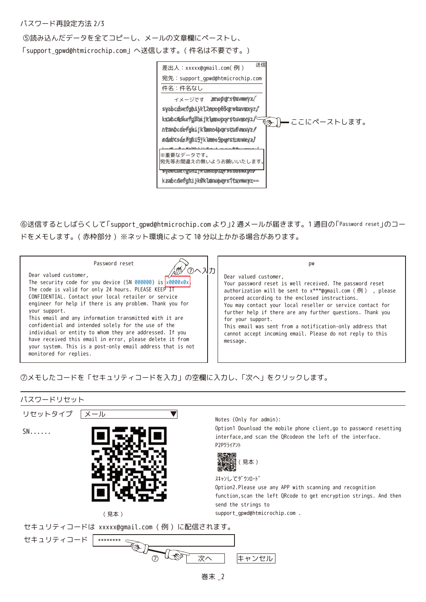## パスワード再設定方法 2/3

➄読み込んだデータを全てコピーし、メールの文章欄にペーストし、

「support\_gpwd@htmicrochip.com」へ送信します。( 件名は不要です。)



⑥送信するとしばらくして「support\_gpwd@htmicrochip.com より」2 通メールが届きます。1 通目の「Password reset」のコー ドをメモします。( 赤枠部分 ) ※ネット環境によって 10 分以上かかる場合があります。

| your system. This is a post-only email address that is not<br>monitored for replies. |
|--------------------------------------------------------------------------------------|
|--------------------------------------------------------------------------------------|

## ⑦メモしたコードを「セキュリティコードを入力」の空欄に入力し、「次へ」をクリックします。